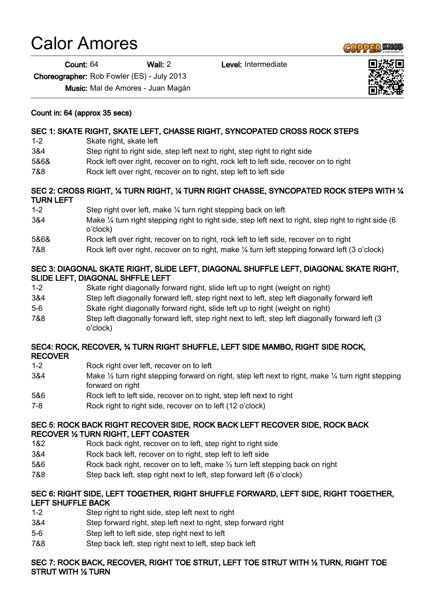# Calor Amores

Count: 64 Wall: 2 Level: Intermediate

Choreographer: Rob Fowler (ES) - July 2013

Music: Mal de Amores - Juan Magán

## Count in: 64 (approx 35 secs)

# SEC 1: SKATE RIGHT, SKATE LEFT, CHASSE RIGHT, SYNCOPATED CROSS ROCK STEPS

- 1-2 Skate right, skate left
- 3&4 Step right to right side, step left next to right, step right to right side
- 5&6& Rock left over right, recover on to right, rock left to left side, recover on to right
- 7&8 Rock left over right, recover on to right, step left to left side

## SEC 2: CROSS RIGHT, ¼ TURN RIGHT, ¼ TURN RIGHT CHASSE, SYNCOPATED ROCK STEPS WITH ¼ TURN LEFT

- 1-2 Step right over left, make ¼ turn right stepping back on left
- 3&4 Make ¼ turn right stepping right to right side, step left next to right, step right to right side (6 o'clock)
- 5&6& Rock left over right, recover on to right, rock left to left side, recover on to right
- 7&8 Rock left over right, recover on to right, make ¼ turn left stepping forward left (3 o'clock)

## SEC 3: DIAGONAL SKATE RIGHT, SLIDE LEFT, DIAGONAL SHUFFLE LEFT, DIAGONAL SKATE RIGHT, SLIDE LEFT, DIAGONAL SHFFLE LEFT

- 1-2 Skate right diagonally forward right, slide left up to right (weight on right)
- 3&4 Step left diagonally forward left, step right next to left, step left diagonally forward left
- 5-6 Skate right diagonally forward right, slide left up to right (weight on right)
- 7&8 Step left diagonally forward left, step right next to left, step left diagonally forward left (3 o'clock)

#### SEC4: ROCK, RECOVER, ¾ TURN RIGHT SHUFFLE, LEFT SIDE MAMBO, RIGHT SIDE ROCK, RECOVER

- 1-2 Rock right over left, recover on to left
- 3&4 Make ½ turn right stepping forward on right, step left next to right, make ¼ turn right stepping forward on right
- 5&6 Rock left to left side, recover on to right, step left next to right
- 7-8 Rock right to right side, recover on to left (12 o'clock)

## SEC 5: ROCK BACK RIGHT RECOVER SIDE, ROCK BACK LEFT RECOVER SIDE, ROCK BACK RECOVER ½ TURN RIGHT, LEFT COASTER

- 1&2 Rock back right, recover on to left, step right to right side
- 3&4 Rock back left, recover on to right, step left to left side
- 5&6 Rock back right, recover on to left, make ½ turn left stepping back on right
- 7&8 Step back left, step right next to left, step forward left (6 o'clock)

# SEC 6: RIGHT SIDE, LEFT TOGETHER, RIGHT SHUFFLE FORWARD, LEFT SIDE, RIGHT TOGETHER, LEFT SHUFFLE BACK

- 1-2 Step right to right side, step left next to right
- 3&4 Step forward right, step left next to right, step forward right
- 5-6 Step left to left side, step right next to left
- 7&8 Step back left, step right next to left, step back left

# SEC 7: ROCK BACK, RECOVER, RIGHT TOE STRUT, LEFT TOE STRUT WITH ½ TURN, RIGHT TOE STRUT WITH ½ TURN